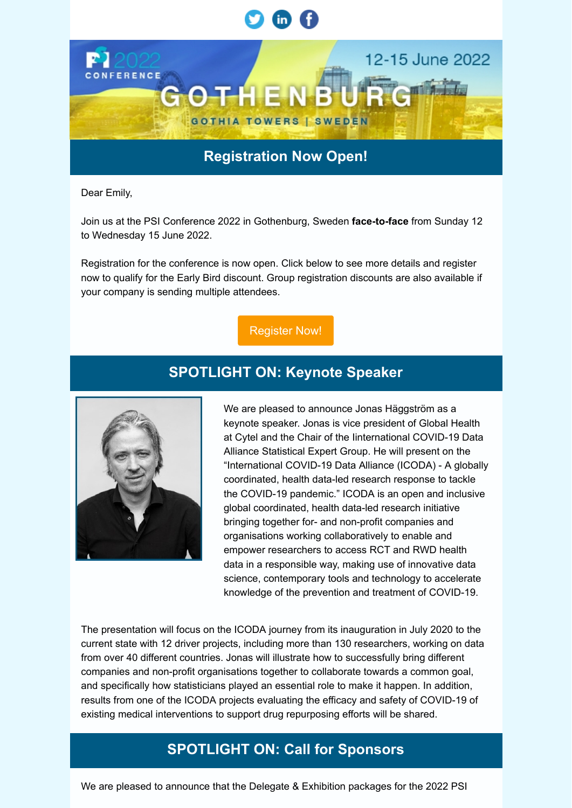

## **Registration Now Open!**

Dear Emily,

Join us at the PSI Conference 2022 in Gothenburg, Sweden **face-to-face** from Sunday 12 to Wednesday 15 June 2022.

Registration for the conference is now open. Click below to see more details and register now to qualify for the Early Bird discount. Group registration discounts are also available if your company is sending multiple attendees.

## [Register Now!](https://psi.glueup.com/track/rd?type=campaign&lid=4&tracking_id=[trackingId]&redirect_url=https%3A%2F%2Fwww.psiweb.org%2Fconferences%2Fconference-registration%2F&ts=1642688100&ps=TnFURUpnbGVaMFEzNmlCa2ZET29GT1ZWZ3lJQndkK3Y0TWl3M1RwMWtZMlVCQ2FIems1UGJybFZONmZPdGMwVnNDU2lrZVN0UjZmQlVhNEtMWEJBVVRMUVB1clkwdUJVZmloSEtLNlozbkk9)

# **SPOTLIGHT ON: Keynote Speaker**



We are pleased to announce Jonas Häggström as a keynote speaker. Jonas is vice president of Global Health at Cytel and the Chair of the Iinternational COVID-19 Data Alliance Statistical Expert Group. He will present on the "International COVID-19 Data Alliance (ICODA) - A globally coordinated, health data-led research response to tackle the COVID-19 pandemic." ICODA is an open and inclusive global coordinated, health data-led research initiative bringing together for- and non-profit companies and organisations working collaboratively to enable and empower researchers to access RCT and RWD health data in a responsible way, making use of innovative data science, contemporary tools and technology to accelerate knowledge of the prevention and treatment of COVID-19.

The presentation will focus on the ICODA journey from its inauguration in July 2020 to the current state with 12 driver projects, including more than 130 researchers, working on data from over 40 different countries. Jonas will illustrate how to successfully bring different companies and non-profit organisations together to collaborate towards a common goal, and specifically how statisticians played an essential role to make it happen. In addition, results from one of the ICODA projects evaluating the efficacy and safety of COVID-19 of existing medical interventions to support drug repurposing efforts will be shared.

# **SPOTLIGHT ON: Call for Sponsors**

We are pleased to announce that the Delegate & Exhibition packages for the 2022 PSI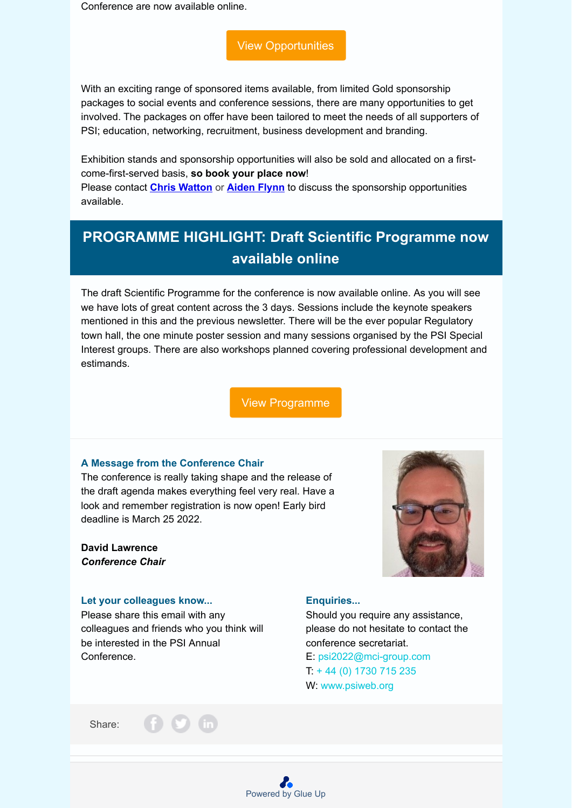Conference are now available online.

[View Opportunities](https://psi.glueup.com/track/rd?type=campaign&lid=5&tracking_id=[trackingId]&redirect_url=https%3A%2F%2Fwww.psiweb.org%2Fconferences%2Fsponsorship-opportunities&ts=1642688100&ps=TnFURUpnbGVaMFEzNmlCa2ZET29GT1ZWZ3lJQndkK3Y0TWl3M1RwMWtZM3JiV1dqVFZRQllCQmtadmFYZ2huREpIMTFRc2JGOTg5N29hUUpHcUxsRmtVR0I2REovVlllU0ExUEtEL1A2c3M9)

With an exciting range of sponsored items available, from limited Gold sponsorship packages to social events and conference sessions, there are many opportunities to get involved. The packages on offer have been tailored to meet the needs of all supporters of PSI; education, networking, recruitment, business development and branding.

Exhibition stands and sponsorship opportunities will also be sold and allocated on a firstcome-first-served basis, **so book your place now**!

Please contact **[Chris Watton](mailto:psi@wattonhall.com)** or **[Aiden Flynn](mailto:aiden.flynn@exploristics.com)** to discuss the sponsorship opportunities available.

# **PROGRAMME HIGHLIGHT: Draft Scientific Programme now available online**

The draft Scientific Programme for the conference is now available online. As you will see we have lots of great content across the 3 days. Sessions include the keynote speakers mentioned in this and the previous newsletter. There will be the ever popular Regulatory town hall, the one minute poster session and many sessions organised by the PSI Special Interest groups. There are also workshops planned covering professional development and estimands.

[View Programme](https://psi.glueup.com/track/rd?type=campaign&lid=6&tracking_id=[trackingId]&redirect_url=https%3A%2F%2Fwww.psiweb.org%2Fconferences%2Fagenda&ts=1642688100&ps=TnFURUpnbGVaMFEzNmlCa2ZET29GT1ZWZ3lJQndkK3Y0TWl3M1RwMWtZMzNkK1UwRmY5UkRWQ1Q2WDF2dldSSzlrTjhGWHMyREtpcy9SU21BZGFId0E9PQ==)

[Powered by Glue Up](https://www.glueup.com/?pk_campaign=invitation&pk_kwd=112023)

### **A Message from the Conference Chair**

The conference is really taking shape and the release of the draft agenda makes everything feel very real. Have a look and remember registration is now open! Early bird deadline is March 25 2022.

### **David Lawrence** *Conference Chair*

### **Let your colleagues know...**

Please share this email with any colleagues and friends who you think will be interested in the PSI Annual Conference.



### **Enquiries...**

Should you require any assistance, please do not hesitate to contact the conference secretariat. E: psi2022@mci-group.com

T: + 44 (0) 1730 715 235 W: www.psiweb.org

Share: